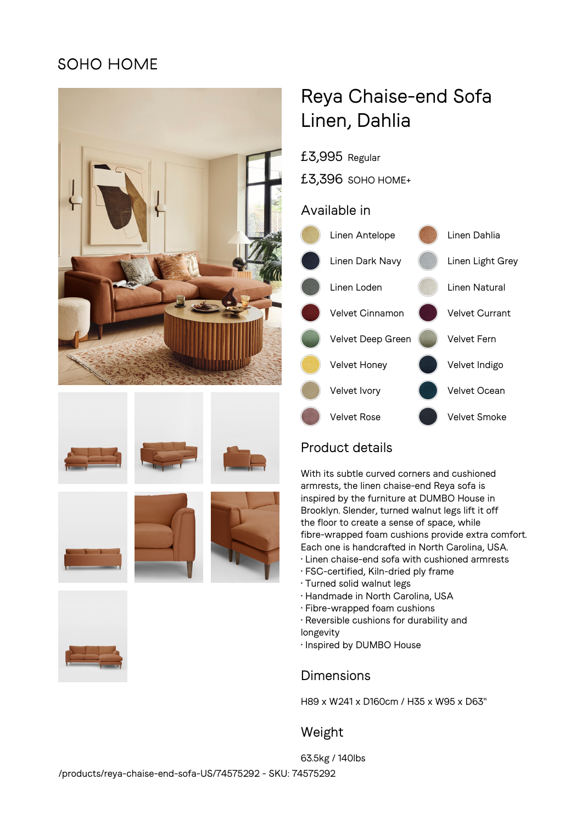## SOHO HOME















# Reya Chaise-end Sofa Linen, Dahlia

£3,995 Regular

£3,396 SOHO HOME+

#### Available in



## Product details

With its subtle curved corners and cushioned armrests, the linen chaise-end Reya sofa is inspired by the furniture at DUMBO House in Brooklyn. Slender, turned walnut legs lift it off the floor to create a sense of space, while fibre-wrapped foam cushions provide extra comfort. Each one is handcrafted in North Carolina, USA.

- Linen chaise-end sofa with cushioned armrests
- FSC-certified, Kiln-dried ply frame
- Turned solid walnut legs
- Handmade in North Carolina, USA
- Fibre-wrapped foam cushions
- Reversible cushions for durability and
- longevity
- Inspired by DUMBO House

## Dimensions

H89 x W241 x D160cm / H35 x W95 x D63"

## Weight

63.5kg / 140lbs /products/reya-chaise-end-sofa-US/74575292 - SKU: 74575292